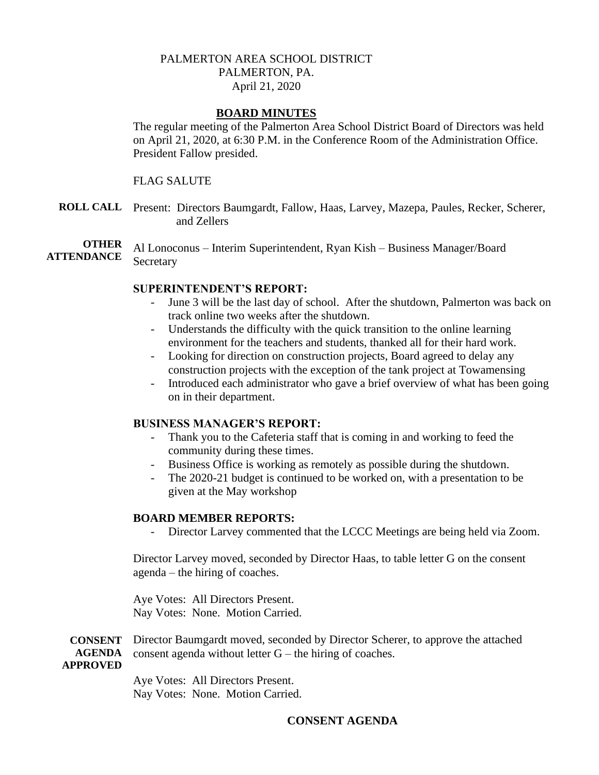## PALMERTON AREA SCHOOL DISTRICT PALMERTON, PA. April 21, 2020

### **BOARD MINUTES**

The regular meeting of the Palmerton Area School District Board of Directors was held on April 21, 2020, at 6:30 P.M. in the Conference Room of the Administration Office. President Fallow presided.

#### FLAG SALUTE

**ROLL CALL** Present: Directors Baumgardt, Fallow, Haas, Larvey, Mazepa, Paules, Recker, Scherer, and Zellers

**OTHER ATTENDANCE** Al Lonoconus – Interim Superintendent, Ryan Kish – Business Manager/Board Secretary

#### **SUPERINTENDENT'S REPORT:**

- June 3 will be the last day of school. After the shutdown, Palmerton was back on track online two weeks after the shutdown.
- Understands the difficulty with the quick transition to the online learning environment for the teachers and students, thanked all for their hard work.
- Looking for direction on construction projects, Board agreed to delay any construction projects with the exception of the tank project at Towamensing
- Introduced each administrator who gave a brief overview of what has been going on in their department.

#### **BUSINESS MANAGER'S REPORT:**

- Thank you to the Cafeteria staff that is coming in and working to feed the community during these times.
- Business Office is working as remotely as possible during the shutdown.
- The 2020-21 budget is continued to be worked on, with a presentation to be given at the May workshop

### **BOARD MEMBER REPORTS:**

- Director Larvey commented that the LCCC Meetings are being held via Zoom.

Director Larvey moved, seconded by Director Haas, to table letter G on the consent agenda – the hiring of coaches.

Aye Votes: All Directors Present. Nay Votes: None. Motion Carried.

**CONSENT AGENDA APPROVED** Director Baumgardt moved, seconded by Director Scherer, to approve the attached consent agenda without letter G – the hiring of coaches.

> Aye Votes: All Directors Present. Nay Votes: None. Motion Carried.

# **CONSENT AGENDA**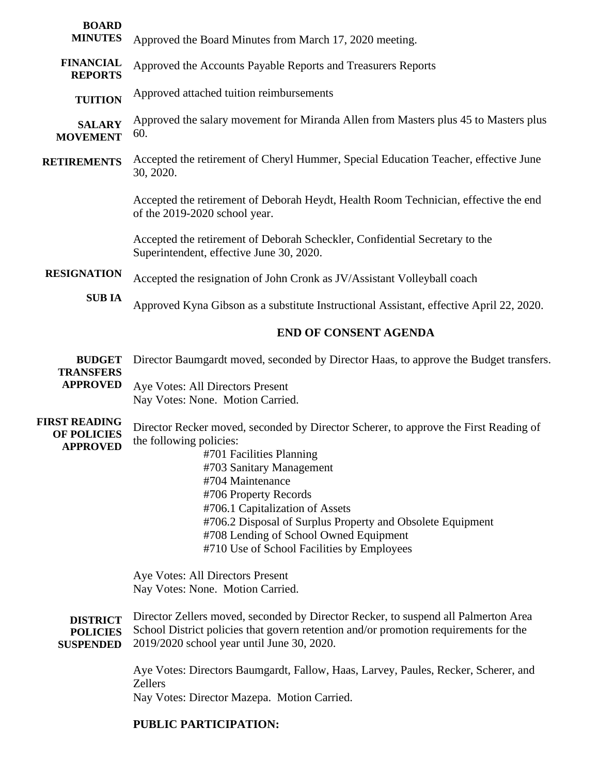| <b>BOARD</b><br><b>MINUTES</b>                                | Approved the Board Minutes from March 17, 2020 meeting.                                                                                                                                                                                                                                                                                                                                                       |
|---------------------------------------------------------------|---------------------------------------------------------------------------------------------------------------------------------------------------------------------------------------------------------------------------------------------------------------------------------------------------------------------------------------------------------------------------------------------------------------|
| <b>FINANCIAL</b><br><b>REPORTS</b>                            | Approved the Accounts Payable Reports and Treasurers Reports                                                                                                                                                                                                                                                                                                                                                  |
| <b>TUITION</b>                                                | Approved attached tuition reimbursements                                                                                                                                                                                                                                                                                                                                                                      |
| <b>SALARY</b><br><b>MOVEMENT</b>                              | Approved the salary movement for Miranda Allen from Masters plus 45 to Masters plus<br>60.                                                                                                                                                                                                                                                                                                                    |
| <b>RETIREMENTS</b>                                            | Accepted the retirement of Cheryl Hummer, Special Education Teacher, effective June<br>30, 2020.                                                                                                                                                                                                                                                                                                              |
|                                                               | Accepted the retirement of Deborah Heydt, Health Room Technician, effective the end<br>of the 2019-2020 school year.                                                                                                                                                                                                                                                                                          |
|                                                               | Accepted the retirement of Deborah Scheckler, Confidential Secretary to the<br>Superintendent, effective June 30, 2020.                                                                                                                                                                                                                                                                                       |
| <b>RESIGNATION</b>                                            | Accepted the resignation of John Cronk as JV/Assistant Volleyball coach                                                                                                                                                                                                                                                                                                                                       |
| <b>SUBIA</b>                                                  | Approved Kyna Gibson as a substitute Instructional Assistant, effective April 22, 2020.                                                                                                                                                                                                                                                                                                                       |
|                                                               | <b>END OF CONSENT AGENDA</b>                                                                                                                                                                                                                                                                                                                                                                                  |
| <b>BUDGET</b><br><b>TRANSFERS</b><br><b>APPROVED</b>          | Director Baumgardt moved, seconded by Director Haas, to approve the Budget transfers.<br>Aye Votes: All Directors Present<br>Nay Votes: None. Motion Carried.                                                                                                                                                                                                                                                 |
| <b>FIRST READING</b><br><b>OF POLICIES</b><br><b>APPROVED</b> | Director Recker moved, seconded by Director Scherer, to approve the First Reading of<br>the following policies:<br>#701 Facilities Planning<br>#703 Sanitary Management<br>#704 Maintenance<br>#706 Property Records<br>#706.1 Capitalization of Assets<br>#706.2 Disposal of Surplus Property and Obsolete Equipment<br>#708 Lending of School Owned Equipment<br>#710 Use of School Facilities by Employees |
| <b>DISTRICT</b>                                               | Aye Votes: All Directors Present<br>Nay Votes: None. Motion Carried.<br>Director Zellers moved, seconded by Director Recker, to suspend all Palmerton Area                                                                                                                                                                                                                                                    |
| <b>POLICIES</b><br><b>SUSPENDED</b>                           | School District policies that govern retention and/or promotion requirements for the<br>2019/2020 school year until June 30, 2020.<br>Aye Votes: Directors Baumgardt, Fallow, Haas, Larvey, Paules, Recker, Scherer, and<br><b>Zellers</b><br>Nay Votes: Director Mazepa. Motion Carried.<br>PUBLIC PARTICIPATION:                                                                                            |
|                                                               |                                                                                                                                                                                                                                                                                                                                                                                                               |